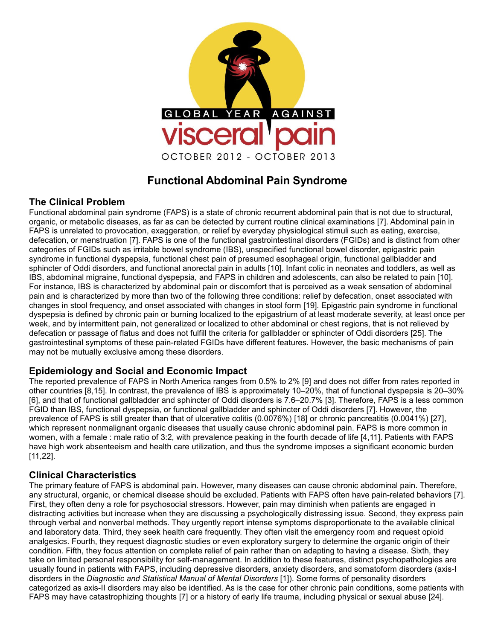

# **Functional Abdominal Pain Syndrome**

#### **The Clinical Problem**

Functional abdominal pain syndrome (FAPS) is a state of chronic recurrent abdominal pain that is not due to structural, organic, or metabolic diseases, as far as can be detected by current routine clinical examinations [7]. Abdominal pain in FAPS is unrelated to provocation, exaggeration, or relief by everyday physiological stimuli such as eating, exercise, defecation, or menstruation [7]. FAPS is one of the functional gastrointestinal disorders (FGIDs) and is distinct from other categories of FGIDs such as irritable bowel syndrome (IBS), unspecified functional bowel disorder, epigastric pain syndrome in functional dyspepsia, functional chest pain of presumed esophageal origin, functional gallbladder and sphincter of Oddi disorders, and functional anorectal pain in adults [10]. Infant colic in neonates and toddlers, as well as IBS, abdominal migraine, functional dyspepsia, and FAPS in children and adolescents, can also be related to pain [10]. For instance, IBS is characterized by abdominal pain or discomfort that is perceived as a weak sensation of abdominal pain and is characterized by more than two of the following three conditions: relief by defecation, onset associated with changes in stool frequency, and onset associated with changes in stool form [19]. Epigastric pain syndrome in functional dyspepsia is defined by chronic pain or burning localized to the epigastrium of at least moderate severity, at least once per week, and by intermittent pain, not generalized or localized to other abdominal or chest regions, that is not relieved by defecation or passage of flatus and does not fulfill the criteria for gallbladder or sphincter of Oddi disorders [25]. The gastrointestinal symptoms of these pain-related FGIDs have different features. However, the basic mechanisms of pain may not be mutually exclusive among these disorders.

#### **Epidemiology and Social and Economic Impact**

The reported prevalence of FAPS in North America ranges from 0.5% to 2% [9] and does not differ from rates reported in other countries [8,15]. In contrast, the prevalence of IBS is approximately 10–20%, that of functional dyspepsia is 20–30% [6], and that of functional gallbladder and sphincter of Oddi disorders is 7.6–20.7% [3]. Therefore, FAPS is a less common FGID than IBS, functional dyspepsia, or functional gallbladder and sphincter of Oddi disorders [7]. However, the prevalence of FAPS is still greater than that of ulcerative colitis (0.0076%) [18] or chronic pancreatitis (0.0041%) [27], which represent nonmalignant organic diseases that usually cause chronic abdominal pain. FAPS is more common in women, with a female : male ratio of 3:2, with prevalence peaking in the fourth decade of life [4,11]. Patients with FAPS have high work absenteeism and health care utilization, and thus the syndrome imposes a significant economic burden [11,22].

# **Clinical Characteristics**

The primary feature of FAPS is abdominal pain. However, many diseases can cause chronic abdominal pain. Therefore, any structural, organic, or chemical disease should be excluded. Patients with FAPS often have pain-related behaviors [7]. First, they often deny a role for psychosocial stressors. However, pain may diminish when patients are engaged in distracting activities but increase when they are discussing a psychologically distressing issue. Second, they express pain through verbal and nonverbal methods. They urgently report intense symptoms disproportionate to the available clinical and laboratory data. Third, they seek health care frequently. They often visit the emergency room and request opioid analgesics. Fourth, they request diagnostic studies or even exploratory surgery to determine the organic origin of their condition. Fifth, they focus attention on complete relief of pain rather than on adapting to having a disease. Sixth, they take on limited personal responsibility for self-management. In addition to these features, distinct psychopathologies are usually found in patients with FAPS, including depressive disorders, anxiety disorders, and somatoform disorders (axis-I disorders in the *Diagnostic and Statistical Manual of Mental Disorders* [1]). Some forms of personality disorders categorized as axis-II disorders may also be identified. As is the case for other chronic pain conditions, some patients with FAPS may have catastrophizing thoughts [7] or a history of early life trauma, including physical or sexual abuse [24].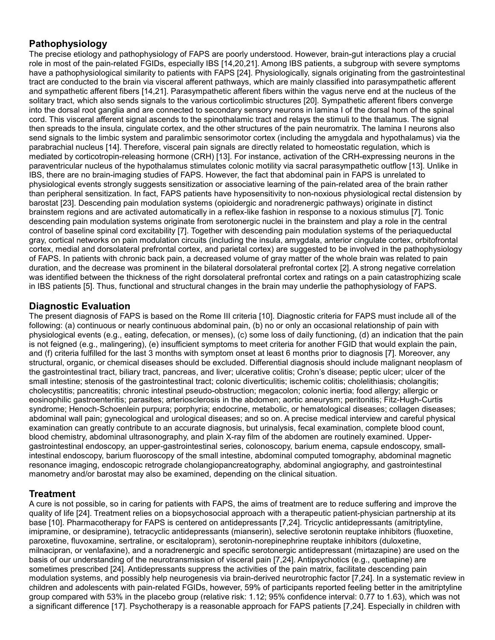### **Pathophysiology**

The precise etiology and pathophysiology of FAPS are poorly understood. However, brain-gut interactions play a crucial role in most of the pain-related FGIDs, especially IBS [14,20,21]. Among IBS patients, a subgroup with severe symptoms have a pathophysiological similarity to patients with FAPS [24]. Physiologically, signals originating from the gastrointestinal tract are conducted to the brain via visceral afferent pathways, which are mainly classified into parasympathetic afferent and sympathetic afferent fibers [14,21]. Parasympathetic afferent fibers within the vagus nerve end at the nucleus of the solitary tract, which also sends signals to the various corticolimbic structures [20]. Sympathetic afferent fibers converge into the dorsal root ganglia and are connected to secondary sensory neurons in lamina I of the dorsal horn of the spinal cord. This visceral afferent signal ascends to the spinothalamic tract and relays the stimuli to the thalamus. The signal then spreads to the insula, cingulate cortex, and the other structures of the pain neuromatrix. The lamina I neurons also send signals to the limbic system and paralimbic sensorimotor cortex (including the amygdala and hypothalamus) via the parabrachial nucleus [14]. Therefore, visceral pain signals are directly related to homeostatic regulation, which is mediated by corticotropin-releasing hormone (CRH) [13]. For instance, activation of the CRH-expressing neurons in the paraventricular nucleus of the hypothalamus stimulates colonic motility via sacral parasympathetic outflow [13]. Unlike in IBS, there are no brain-imaging studies of FAPS. However, the fact that abdominal pain in FAPS is unrelated to physiological events strongly suggests sensitization or associative learning of the pain-related area of the brain rather than peripheral sensitization. In fact, FAPS patients have hyposensitivity to non-noxious physiological rectal distension by barostat [23]. Descending pain modulation systems (opioidergic and noradrenergic pathways) originate in distinct brainstem regions and are activated automatically in a reflex-like fashion in response to a noxious stimulus [7]. Tonic descending pain modulation systems originate from serotonergic nuclei in the brainstem and play a role in the central control of baseline spinal cord excitability [7]. Together with descending pain modulation systems of the periaqueductal gray, cortical networks on pain modulation circuits (including the insula, amygdala, anterior cingulate cortex, orbitofrontal cortex, medial and dorsolateral prefrontal cortex, and parietal cortex) are suggested to be involved in the pathophysiology of FAPS. In patients with chronic back pain, a decreased volume of gray matter of the whole brain was related to pain duration, and the decrease was prominent in the bilateral dorsolateral prefrontal cortex [2]. A strong negative correlation was identified between the thickness of the right dorsolateral prefrontal cortex and ratings on a pain catastrophizing scale in IBS patients [5]. Thus, functional and structural changes in the brain may underlie the pathophysiology of FAPS.

### **Diagnostic Evaluation**

The present diagnosis of FAPS is based on the Rome III criteria [10]. Diagnostic criteria for FAPS must include all of the following: (a) continuous or nearly continuous abdominal pain, (b) no or only an occasional relationship of pain with physiological events (e.g., eating, defecation, or menses), (c) some loss of daily functioning, (d) an indication that the pain is not feigned (e.g., malingering), (e) insufficient symptoms to meet criteria for another FGID that would explain the pain, and (f) criteria fulfilled for the last 3 months with symptom onset at least 6 months prior to diagnosis [7]. Moreover, any structural, organic, or chemical diseases should be excluded. Differential diagnosis should include malignant neoplasm of the gastrointestinal tract, biliary tract, pancreas, and liver; ulcerative colitis; Crohn's disease; peptic ulcer; ulcer of the small intestine; stenosis of the gastrointestinal tract; colonic diverticulitis; ischemic colitis; cholelithiasis; cholangitis; cholecystitis; pancreatitis; chronic intestinal pseudo-obstruction; megacolon; colonic inertia; food allergy; allergic or eosinophilic gastroenteritis; parasites; arteriosclerosis in the abdomen; aortic aneurysm; peritonitis; Fitz-Hugh-Curtis syndrome; Henoch-Schoenlein purpura; porphyria; endocrine, metabolic, or hematological diseases; collagen diseases; abdominal wall pain; gynecological and urological diseases; and so on. A precise medical interview and careful physical examination can greatly contribute to an accurate diagnosis, but urinalysis, fecal examination, complete blood count, blood chemistry, abdominal ultrasonography, and plain X-ray film of the abdomen are routinely examined. Uppergastrointestinal endoscopy, an upper-gastrointestinal series, colonoscopy, barium enema, capsule endoscopy, smallintestinal endoscopy, barium fluoroscopy of the small intestine, abdominal computed tomography, abdominal magnetic resonance imaging, endoscopic retrograde cholangiopancreatography, abdominal angiography, and gastrointestinal manometry and/or barostat may also be examined, depending on the clinical situation.

# **Treatment**

A cure is not possible, so in caring for patients with FAPS, the aims of treatment are to reduce suffering and improve the quality of life [24]. Treatment relies on a biopsychosocial approach with a therapeutic patient-physician partnership at its base [10]. Pharmacotherapy for FAPS is centered on antidepressants [7,24]. Tricyclic antidepressants (amitriptyline, imipramine, or desipramine), tetracyclic antidepressants (mianserin), selective serotonin reuptake inhibitors (fluoxetine, paroxetine, fluvoxamine, sertraline, or escitalopram), serotonin-norepinephrine reuptake inhibitors (duloxetine, milnacipran, or venlafaxine), and a noradrenergic and specific serotonergic antidepressant (mirtazapine) are used on the basis of our understanding of the neurotransmission of visceral pain [7,24]. Antipsychotics (e.g., quetiapine) are sometimes prescribed [24]. Antidepressants suppress the activities of the pain matrix, facilitate descending pain modulation systems, and possibly help neurogenesis via brain-derived neurotrophic factor [7,24]. In a systematic review in children and adolescents with pain-related FGIDs, however, 59% of participants reported feeling better in the amitriptyline group compared with 53% in the placebo group (relative risk: 1.12; 95% confidence interval: 0.77 to 1.63), which was not a significant difference [17]. Psychotherapy is a reasonable approach for FAPS patients [7,24]. Especially in children with